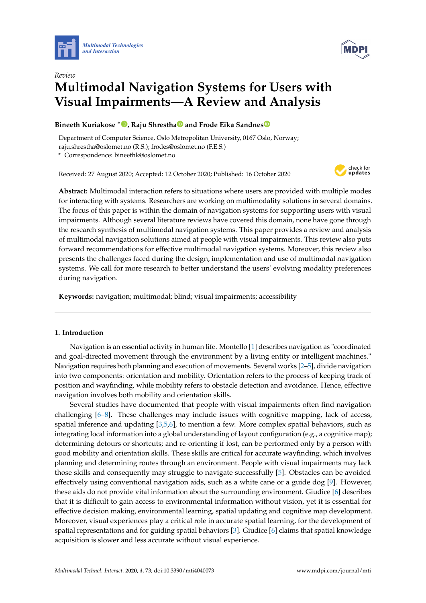



# *Review* **Multimodal Navigation Systems for Users with Visual Impairments—A Review and Analysis**

# **Bineeth Kuriakose** <sup>∗</sup> **[,](https://orcid.org/0000-0002-0460-1239) Raju Shresth[a](https://orcid.org/0000-0001-6409-8893) and Frode Eika Sandne[s](https://orcid.org/0000-0001-6409-8893)**

Department of Computer Science, Oslo Metropolitan University, 0167 Oslo, Norway; raju.shrestha@oslomet.no (R.S.); frodes@oslomet.no (F.E.S.)

**\*** Correspondence: bineethk@oslomet.no

Received: 27 August 2020; Accepted: 12 October 2020; Published: 16 October 2020



**Abstract:** Multimodal interaction refers to situations where users are provided with multiple modes for interacting with systems. Researchers are working on multimodality solutions in several domains. The focus of this paper is within the domain of navigation systems for supporting users with visual impairments. Although several literature reviews have covered this domain, none have gone through the research synthesis of multimodal navigation systems. This paper provides a review and analysis of multimodal navigation solutions aimed at people with visual impairments. This review also puts forward recommendations for effective multimodal navigation systems. Moreover, this review also presents the challenges faced during the design, implementation and use of multimodal navigation systems. We call for more research to better understand the users' evolving modality preferences during navigation.

**Keywords:** navigation; multimodal; blind; visual impairments; accessibility

# **1. Introduction**

Navigation is an essential activity in human life. Montello [\[1\]](#page-13-0) describes navigation as "coordinated and goal-directed movement through the environment by a living entity or intelligent machines." Navigation requires both planning and execution of movements. Several works [\[2](#page-13-1)[–5\]](#page-13-2), divide navigation into two components: orientation and mobility. Orientation refers to the process of keeping track of position and wayfinding, while mobility refers to obstacle detection and avoidance. Hence, effective navigation involves both mobility and orientation skills.

Several studies have documented that people with visual impairments often find navigation challenging [\[6](#page-13-3)[–8\]](#page-13-4). These challenges may include issues with cognitive mapping, lack of access, spatial inference and updating [\[3,](#page-13-5)[5,](#page-13-2)[6\]](#page-13-3), to mention a few. More complex spatial behaviors, such as integrating local information into a global understanding of layout configuration (e.g., a cognitive map); determining detours or shortcuts; and re-orienting if lost, can be performed only by a person with good mobility and orientation skills. These skills are critical for accurate wayfinding, which involves planning and determining routes through an environment. People with visual impairments may lack those skills and consequently may struggle to navigate successfully [\[5\]](#page-13-2). Obstacles can be avoided effectively using conventional navigation aids, such as a white cane or a guide dog [\[9\]](#page-13-6). However, these aids do not provide vital information about the surrounding environment. Giudice [\[6\]](#page-13-3) describes that it is difficult to gain access to environmental information without vision, yet it is essential for effective decision making, environmental learning, spatial updating and cognitive map development. Moreover, visual experiences play a critical role in accurate spatial learning, for the development of spatial representations and for guiding spatial behaviors [\[3\]](#page-13-5). Giudice [\[6\]](#page-13-3) claims that spatial knowledge acquisition is slower and less accurate without visual experience.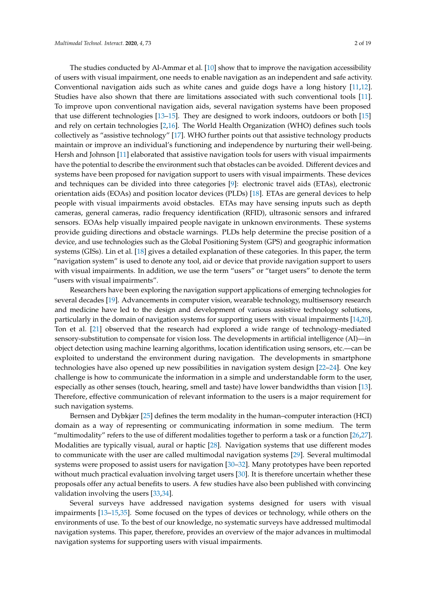The studies conducted by Al-Ammar et al. [\[10\]](#page-13-7) show that to improve the navigation accessibility of users with visual impairment, one needs to enable navigation as an independent and safe activity. Conventional navigation aids such as white canes and guide dogs have a long history [\[11,](#page-13-8)[12\]](#page-13-9). Studies have also shown that there are limitations associated with such conventional tools [\[11\]](#page-13-8). To improve upon conventional navigation aids, several navigation systems have been proposed that use different technologies [\[13](#page-13-10)[–15\]](#page-13-11). They are designed to work indoors, outdoors or both [\[15\]](#page-13-11) and rely on certain technologies [\[2](#page-13-1)[,16\]](#page-14-0). The World Health Organization (WHO) defines such tools collectively as "assistive technology" [\[17\]](#page-14-1). WHO further points out that assistive technology products maintain or improve an individual's functioning and independence by nurturing their well-being. Hersh and Johnson [\[11\]](#page-13-8) elaborated that assistive navigation tools for users with visual impairments have the potential to describe the environment such that obstacles can be avoided. Different devices and systems have been proposed for navigation support to users with visual impairments. These devices and techniques can be divided into three categories [\[9\]](#page-13-6): electronic travel aids (ETAs), electronic orientation aids (EOAs) and position locator devices (PLDs) [\[18\]](#page-14-2). ETAs are general devices to help people with visual impairments avoid obstacles. ETAs may have sensing inputs such as depth cameras, general cameras, radio frequency identification (RFID), ultrasonic sensors and infrared sensors. EOAs help visually impaired people navigate in unknown environments. These systems provide guiding directions and obstacle warnings. PLDs help determine the precise position of a device, and use technologies such as the Global Positioning System (GPS) and geographic information systems (GISs). Lin et al. [\[18\]](#page-14-2) gives a detailed explanation of these categories. In this paper, the term "navigation system" is used to denote any tool, aid or device that provide navigation support to users with visual impairments. In addition, we use the term "users" or "target users" to denote the term "users with visual impairments".

Researchers have been exploring the navigation support applications of emerging technologies for several decades [\[19\]](#page-14-3). Advancements in computer vision, wearable technology, multisensory research and medicine have led to the design and development of various assistive technology solutions, particularly in the domain of navigation systems for supporting users with visual impairments [\[14,](#page-13-12)[20\]](#page-14-4). Ton et al. [\[21\]](#page-14-5) observed that the research had explored a wide range of technology-mediated sensory-substitution to compensate for vision loss. The developments in artificial intelligence (AI)—in object detection using machine learning algorithms, location identification using sensors, etc.—can be exploited to understand the environment during navigation. The developments in smartphone technologies have also opened up new possibilities in navigation system design [\[22–](#page-14-6)[24\]](#page-14-7). One key challenge is how to communicate the information in a simple and understandable form to the user, especially as other senses (touch, hearing, smell and taste) have lower bandwidths than vision [\[13\]](#page-13-10). Therefore, effective communication of relevant information to the users is a major requirement for such navigation systems.

Bernsen and Dybkjær [\[25\]](#page-14-8) defines the term modality in the human–computer interaction (HCI) domain as a way of representing or communicating information in some medium. The term "multimodality" refers to the use of different modalities together to perform a task or a function [\[26](#page-14-9)[,27\]](#page-14-10). Modalities are typically visual, aural or haptic [\[28\]](#page-14-11). Navigation systems that use different modes to communicate with the user are called multimodal navigation systems [\[29\]](#page-14-12). Several multimodal systems were proposed to assist users for navigation [\[30](#page-14-13)[–32\]](#page-14-14). Many prototypes have been reported without much practical evaluation involving target users [\[30\]](#page-14-13). It is therefore uncertain whether these proposals offer any actual benefits to users. A few studies have also been published with convincing validation involving the users [\[33](#page-14-15)[,34\]](#page-14-16).

Several surveys have addressed navigation systems designed for users with visual impairments [\[13–](#page-13-10)[15,](#page-13-11)[35\]](#page-14-17). Some focused on the types of devices or technology, while others on the environments of use. To the best of our knowledge, no systematic surveys have addressed multimodal navigation systems. This paper, therefore, provides an overview of the major advances in multimodal navigation systems for supporting users with visual impairments.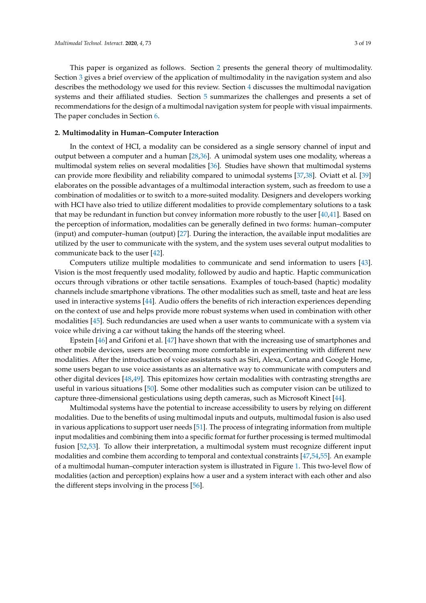This paper is organized as follows. Section [2](#page-2-0) presents the general theory of multimodality. Section [3](#page-3-0) gives a brief overview of the application of multimodality in the navigation system and also describes the methodology we used for this review. Section [4](#page-10-0) discusses the multimodal navigation systems and their affiliated studies. Section [5](#page-11-0) summarizes the challenges and presents a set of recommendations for the design of a multimodal navigation system for people with visual impairments. The paper concludes in Section [6.](#page-12-0)

## <span id="page-2-0"></span>**2. Multimodality in Human–Computer Interaction**

In the context of HCI, a modality can be considered as a single sensory channel of input and output between a computer and a human [\[28](#page-14-11)[,36\]](#page-14-18). A unimodal system uses one modality, whereas a multimodal system relies on several modalities [\[36\]](#page-14-18). Studies have shown that multimodal systems can provide more flexibility and reliability compared to unimodal systems [\[37](#page-15-0)[,38\]](#page-15-1). Oviatt et al. [\[39\]](#page-15-2) elaborates on the possible advantages of a multimodal interaction system, such as freedom to use a combination of modalities or to switch to a more-suited modality. Designers and developers working with HCI have also tried to utilize different modalities to provide complementary solutions to a task that may be redundant in function but convey information more robustly to the user [\[40,](#page-15-3)[41\]](#page-15-4). Based on the perception of information, modalities can be generally defined in two forms: human–computer (input) and computer–human (output) [\[27\]](#page-14-10). During the interaction, the available input modalities are utilized by the user to communicate with the system, and the system uses several output modalities to communicate back to the user [\[42\]](#page-15-5).

Computers utilize multiple modalities to communicate and send information to users [\[43\]](#page-15-6). Vision is the most frequently used modality, followed by audio and haptic. Haptic communication occurs through vibrations or other tactile sensations. Examples of touch-based (haptic) modality channels include smartphone vibrations. The other modalities such as smell, taste and heat are less used in interactive systems [\[44\]](#page-15-7). Audio offers the benefits of rich interaction experiences depending on the context of use and helps provide more robust systems when used in combination with other modalities [\[45\]](#page-15-8). Such redundancies are used when a user wants to communicate with a system via voice while driving a car without taking the hands off the steering wheel.

Epstein [\[46\]](#page-15-9) and Grifoni et al. [\[47\]](#page-15-10) have shown that with the increasing use of smartphones and other mobile devices, users are becoming more comfortable in experimenting with different new modalities. After the introduction of voice assistants such as Siri, Alexa, Cortana and Google Home, some users began to use voice assistants as an alternative way to communicate with computers and other digital devices [\[48](#page-15-11)[,49\]](#page-15-12). This epitomizes how certain modalities with contrasting strengths are useful in various situations [\[50\]](#page-15-13). Some other modalities such as computer vision can be utilized to capture three-dimensional gesticulations using depth cameras, such as Microsoft Kinect [\[44\]](#page-15-7).

Multimodal systems have the potential to increase accessibility to users by relying on different modalities. Due to the benefits of using multimodal inputs and outputs, multimodal fusion is also used in various applications to support user needs [\[51\]](#page-15-14). The process of integrating information from multiple input modalities and combining them into a specific format for further processing is termed multimodal fusion [\[52](#page-15-15)[,53\]](#page-15-16). To allow their interpretation, a multimodal system must recognize different input modalities and combine them according to temporal and contextual constraints [\[47](#page-15-10)[,54](#page-15-17)[,55\]](#page-15-18). An example of a multimodal human–computer interaction system is illustrated in Figure [1.](#page-3-1) This two-level flow of modalities (action and perception) explains how a user and a system interact with each other and also the different steps involving in the process [\[56\]](#page-15-19).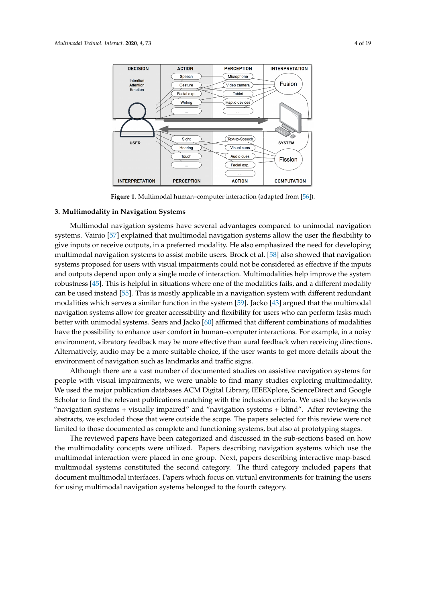<span id="page-3-1"></span>

**Figure 1.** Multimodal human–computer interaction (adapted from [\[56\]](#page-15-19)).

## <span id="page-3-0"></span>**3. Multimodality in Navigation Systems**

Multimodal navigation systems have several advantages compared to unimodal navigation systems. Vainio [\[57\]](#page-15-20) explained that multimodal navigation systems allow the user the flexibility to give inputs or receive outputs, in a preferred modality. He also emphasized the need for developing multimodal navigation systems to assist mobile users. Brock et al. [\[58\]](#page-15-21) also showed that navigation systems proposed for users with visual impairments could not be considered as effective if the inputs and outputs depend upon only a single mode of interaction. Multimodalities help improve the system robustness [\[45\]](#page-15-8). This is helpful in situations where one of the modalities fails, and a different modality can be used instead [\[55\]](#page-15-18). This is mostly applicable in a navigation system with different redundant modalities which serves a similar function in the system [\[59\]](#page-15-22). Jacko [\[43\]](#page-15-6) argued that the multimodal navigation systems allow for greater accessibility and flexibility for users who can perform tasks much better with unimodal systems. Sears and Jacko [\[60\]](#page-16-0) affirmed that different combinations of modalities have the possibility to enhance user comfort in human–computer interactions. For example, in a noisy environment, vibratory feedback may be more effective than aural feedback when receiving directions. Alternatively, audio may be a more suitable choice, if the user wants to get more details about the environment of navigation such as landmarks and traffic signs.

Although there are a vast number of documented studies on assistive navigation systems for people with visual impairments, we were unable to find many studies exploring multimodality. We used the major publication databases ACM Digital Library, IEEEXplore, ScienceDirect and Google Scholar to find the relevant publications matching with the inclusion criteria. We used the keywords "navigation systems + visually impaired" and "navigation systems + blind". After reviewing the abstracts, we excluded those that were outside the scope. The papers selected for this review were not limited to those documented as complete and functioning systems, but also at prototyping stages.

The reviewed papers have been categorized and discussed in the sub-sections based on how the multimodality concepts were utilized. Papers describing navigation systems which use the multimodal interaction were placed in one group. Next, papers describing interactive map-based multimodal systems constituted the second category. The third category included papers that document multimodal interfaces. Papers which focus on virtual environments for training the users for using multimodal navigation systems belonged to the fourth category.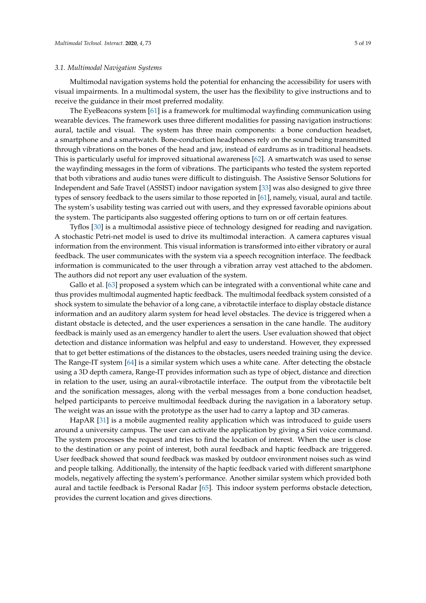#### *3.1. Multimodal Navigation Systems*

Multimodal navigation systems hold the potential for enhancing the accessibility for users with visual impairments. In a multimodal system, the user has the flexibility to give instructions and to receive the guidance in their most preferred modality.

The EyeBeacons system [\[61\]](#page-16-1) is a framework for multimodal wayfinding communication using wearable devices. The framework uses three different modalities for passing navigation instructions: aural, tactile and visual. The system has three main components: a bone conduction headset, a smartphone and a smartwatch. Bone-conduction headphones rely on the sound being transmitted through vibrations on the bones of the head and jaw, instead of eardrums as in traditional headsets. This is particularly useful for improved situational awareness [\[62\]](#page-16-2). A smartwatch was used to sense the wayfinding messages in the form of vibrations. The participants who tested the system reported that both vibrations and audio tunes were difficult to distinguish. The Assistive Sensor Solutions for Independent and Safe Travel (ASSIST) indoor navigation system [\[33\]](#page-14-15) was also designed to give three types of sensory feedback to the users similar to those reported in [\[61\]](#page-16-1), namely, visual, aural and tactile. The system's usability testing was carried out with users, and they expressed favorable opinions about the system. The participants also suggested offering options to turn on or off certain features.

Tyflos [\[30\]](#page-14-13) is a multimodal assistive piece of technology designed for reading and navigation. A stochastic Petri-net model is used to drive its multimodal interaction. A camera captures visual information from the environment. This visual information is transformed into either vibratory or aural feedback. The user communicates with the system via a speech recognition interface. The feedback information is communicated to the user through a vibration array vest attached to the abdomen. The authors did not report any user evaluation of the system.

Gallo et al. [\[63\]](#page-16-3) proposed a system which can be integrated with a conventional white cane and thus provides multimodal augmented haptic feedback. The multimodal feedback system consisted of a shock system to simulate the behavior of a long cane, a vibrotactile interface to display obstacle distance information and an auditory alarm system for head level obstacles. The device is triggered when a distant obstacle is detected, and the user experiences a sensation in the cane handle. The auditory feedback is mainly used as an emergency handler to alert the users. User evaluation showed that object detection and distance information was helpful and easy to understand. However, they expressed that to get better estimations of the distances to the obstacles, users needed training using the device. The Range-IT system [\[64\]](#page-16-4) is a similar system which uses a white cane. After detecting the obstacle using a 3D depth camera, Range-IT provides information such as type of object, distance and direction in relation to the user, using an aural-vibrotactile interface. The output from the vibrotactile belt and the sonification messages, along with the verbal messages from a bone conduction headset, helped participants to perceive multimodal feedback during the navigation in a laboratory setup. The weight was an issue with the prototype as the user had to carry a laptop and 3D cameras.

HapAR [\[31\]](#page-14-19) is a mobile augmented reality application which was introduced to guide users around a university campus. The user can activate the application by giving a Siri voice command. The system processes the request and tries to find the location of interest. When the user is close to the destination or any point of interest, both aural feedback and haptic feedback are triggered. User feedback showed that sound feedback was masked by outdoor environment noises such as wind and people talking. Additionally, the intensity of the haptic feedback varied with different smartphone models, negatively affecting the system's performance. Another similar system which provided both aural and tactile feedback is Personal Radar [\[65\]](#page-16-5). This indoor system performs obstacle detection, provides the current location and gives directions.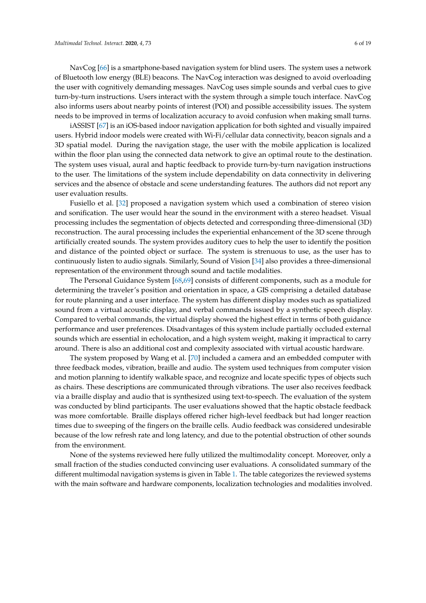NavCog [\[66\]](#page-16-6) is a smartphone-based navigation system for blind users. The system uses a network of Bluetooth low energy (BLE) beacons. The NavCog interaction was designed to avoid overloading the user with cognitively demanding messages. NavCog uses simple sounds and verbal cues to give turn-by-turn instructions. Users interact with the system through a simple touch interface. NavCog also informs users about nearby points of interest (POI) and possible accessibility issues. The system needs to be improved in terms of localization accuracy to avoid confusion when making small turns.

iASSIST [\[67\]](#page-16-7) is an iOS-based indoor navigation application for both sighted and visually impaired users. Hybrid indoor models were created with Wi-Fi/cellular data connectivity, beacon signals and a 3D spatial model. During the navigation stage, the user with the mobile application is localized within the floor plan using the connected data network to give an optimal route to the destination. The system uses visual, aural and haptic feedback to provide turn-by-turn navigation instructions to the user. The limitations of the system include dependability on data connectivity in delivering services and the absence of obstacle and scene understanding features. The authors did not report any user evaluation results.

Fusiello et al. [\[32\]](#page-14-14) proposed a navigation system which used a combination of stereo vision and sonification. The user would hear the sound in the environment with a stereo headset. Visual processing includes the segmentation of objects detected and corresponding three-dimensional (3D) reconstruction. The aural processing includes the experiential enhancement of the 3D scene through artificially created sounds. The system provides auditory cues to help the user to identify the position and distance of the pointed object or surface. The system is strenuous to use, as the user has to continuously listen to audio signals. Similarly, Sound of Vision [\[34\]](#page-14-16) also provides a three-dimensional representation of the environment through sound and tactile modalities.

The Personal Guidance System [\[68,](#page-16-8)[69\]](#page-16-9) consists of different components, such as a module for determining the traveler's position and orientation in space, a GIS comprising a detailed database for route planning and a user interface. The system has different display modes such as spatialized sound from a virtual acoustic display, and verbal commands issued by a synthetic speech display. Compared to verbal commands, the virtual display showed the highest effect in terms of both guidance performance and user preferences. Disadvantages of this system include partially occluded external sounds which are essential in echolocation, and a high system weight, making it impractical to carry around. There is also an additional cost and complexity associated with virtual acoustic hardware.

The system proposed by Wang et al. [\[70\]](#page-16-10) included a camera and an embedded computer with three feedback modes, vibration, braille and audio. The system used techniques from computer vision and motion planning to identify walkable space, and recognize and locate specific types of objects such as chairs. These descriptions are communicated through vibrations. The user also receives feedback via a braille display and audio that is synthesized using text-to-speech. The evaluation of the system was conducted by blind participants. The user evaluations showed that the haptic obstacle feedback was more comfortable. Braille displays offered richer high-level feedback but had longer reaction times due to sweeping of the fingers on the braille cells. Audio feedback was considered undesirable because of the low refresh rate and long latency, and due to the potential obstruction of other sounds from the environment.

None of the systems reviewed here fully utilized the multimodality concept. Moreover, only a small fraction of the studies conducted convincing user evaluations. A consolidated summary of the different multimodal navigation systems is given in Table [1.](#page-6-0) The table categorizes the reviewed systems with the main software and hardware components, localization technologies and modalities involved.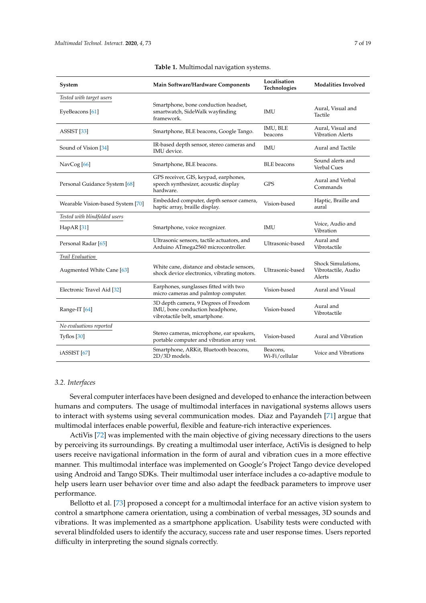<span id="page-6-0"></span>

| System                            | Main Software/Hardware Components                                                                          | Localisation<br>Technologies | <b>Modalities Involved</b>                          |
|-----------------------------------|------------------------------------------------------------------------------------------------------------|------------------------------|-----------------------------------------------------|
| Tested with target users          |                                                                                                            |                              |                                                     |
| EyeBeacons [61]                   | Smartphone, bone conduction headset,<br>smartwatch, SideWalk wayfinding<br>framework.                      | IMU                          | Aural, Visual and<br>Tactile                        |
| ASSIST <sup>[33]</sup>            | Smartphone, BLE beacons, Google Tango.                                                                     | IMU, BLE<br>beacons          | Aural, Visual and<br><b>Vibration Alerts</b>        |
| Sound of Vision [34]              | IR-based depth sensor, stereo cameras and<br>IMU device.                                                   | IMU                          | Aural and Tactile                                   |
| NavCog <sup>[66]</sup>            | Smartphone, BLE beacons.                                                                                   | <b>BLE</b> beacons           | Sound alerts and<br>Verbal Cues                     |
| Personal Guidance System [68]     | GPS receiver, GIS, keypad, earphones,<br>speech synthesizer, acoustic display<br>hardware.                 | <b>GPS</b>                   | Aural and Verbal<br>Commands                        |
| Wearable Vision-based System [70] | Embedded computer, depth sensor camera,<br>haptic array, braille display.                                  | Vision-based                 | Haptic, Braille and<br>aural                        |
| Tested with blindfolded users     |                                                                                                            |                              |                                                     |
| $HapAR$ [31]                      | Smartphone, voice recognizer.                                                                              | IMU                          | Voice, Audio and<br>Vibration                       |
| Personal Radar [65]               | Ultrasonic sensors, tactile actuators, and<br>Arduino ATmega2560 microcontroller.                          | Ultrasonic-based             | Aural and<br>Vibrotactile                           |
| Trail Evaluation                  |                                                                                                            |                              |                                                     |
| Augmented White Cane [63]         | White cane, distance and obstacle sensors,<br>shock device electronics, vibrating motors.                  | Ultrasonic-based             | Shock Simulations,<br>Vibrotactile, Audio<br>Alerts |
| Electronic Travel Aid [32]        | Earphones, sunglasses fitted with two<br>micro cameras and palmtop computer.                               | Vision-based                 | Aural and Visual                                    |
| Range-IT [64]                     | 3D depth camera, 9 Degrees of Freedom<br>IMU, bone conduction headphone,<br>vibrotactile belt, smartphone. | Vision-based                 | Aural and<br>Vibrotactile                           |
| No evaluations reported           |                                                                                                            |                              |                                                     |
| Tyflos $[30]$                     | Stereo cameras, microphone, ear speakers,<br>portable computer and vibration array vest.                   | Vision-based                 | Aural and Vibration                                 |
| $i$ ASSIST $[67]$                 | Smartphone, ARKit, Bluetooth beacons,<br>2D/3D models.                                                     | Beacons,<br>Wi-Fi/cellular   | Voice and Vibrations                                |

|  | Table 1. Multimodal navigation systems. |  |  |
|--|-----------------------------------------|--|--|
|--|-----------------------------------------|--|--|

## *3.2. Interfaces*

Several computer interfaces have been designed and developed to enhance the interaction between humans and computers. The usage of multimodal interfaces in navigational systems allows users to interact with systems using several communication modes. Diaz and Payandeh [\[71\]](#page-16-11) argue that multimodal interfaces enable powerful, flexible and feature-rich interactive experiences.

ActiVis [\[72\]](#page-16-12) was implemented with the main objective of giving necessary directions to the users by perceiving its surroundings. By creating a multimodal user interface, ActiVis is designed to help users receive navigational information in the form of aural and vibration cues in a more effective manner. This multimodal interface was implemented on Google's Project Tango device developed using Android and Tango SDKs. Their multimodal user interface includes a co-adaptive module to help users learn user behavior over time and also adapt the feedback parameters to improve user performance.

Bellotto et al. [\[73\]](#page-16-13) proposed a concept for a multimodal interface for an active vision system to control a smartphone camera orientation, using a combination of verbal messages, 3D sounds and vibrations. It was implemented as a smartphone application. Usability tests were conducted with several blindfolded users to identify the accuracy, success rate and user response times. Users reported difficulty in interpreting the sound signals correctly.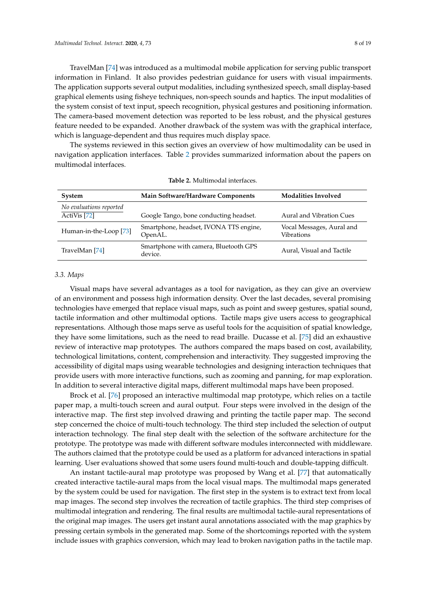TravelMan [\[74\]](#page-16-14) was introduced as a multimodal mobile application for serving public transport information in Finland. It also provides pedestrian guidance for users with visual impairments. The application supports several output modalities, including synthesized speech, small display-based graphical elements using fisheye techniques, non-speech sounds and haptics. The input modalities of the system consist of text input, speech recognition, physical gestures and positioning information. The camera-based movement detection was reported to be less robust, and the physical gestures feature needed to be expanded. Another drawback of the system was with the graphical interface, which is language-dependent and thus requires much display space.

The systems reviewed in this section gives an overview of how multimodality can be used in navigation application interfaces. Table [2](#page-7-0) provides summarized information about the papers on multimodal interfaces.

<span id="page-7-0"></span>

| <b>Modalities Involved</b><br>Main Software/Hardware Components<br>System<br>No evaluations reported<br>ActiVis [72]<br>Google Tango, bone conducting headset.<br><b>Aural and Vibration Cues</b><br>Smartphone, headset, IVONA TTS engine,<br>Vocal Messages, Aural and<br>Human-in-the-Loop [73]<br>OpenAL.<br>Vibrations<br>Smartphone with camera, Bluetooth GPS<br>Aural, Visual and Tactile<br>TravelMan [74]<br>device. |  |  |
|--------------------------------------------------------------------------------------------------------------------------------------------------------------------------------------------------------------------------------------------------------------------------------------------------------------------------------------------------------------------------------------------------------------------------------|--|--|
|                                                                                                                                                                                                                                                                                                                                                                                                                                |  |  |
|                                                                                                                                                                                                                                                                                                                                                                                                                                |  |  |
|                                                                                                                                                                                                                                                                                                                                                                                                                                |  |  |
|                                                                                                                                                                                                                                                                                                                                                                                                                                |  |  |

**Table 2.** Multimodal interfaces.

#### *3.3. Maps*

Visual maps have several advantages as a tool for navigation, as they can give an overview of an environment and possess high information density. Over the last decades, several promising technologies have emerged that replace visual maps, such as point and sweep gestures, spatial sound, tactile information and other multimodal options. Tactile maps give users access to geographical representations. Although those maps serve as useful tools for the acquisition of spatial knowledge, they have some limitations, such as the need to read braille. Ducasse et al. [\[75\]](#page-16-15) did an exhaustive review of interactive map prototypes. The authors compared the maps based on cost, availability, technological limitations, content, comprehension and interactivity. They suggested improving the accessibility of digital maps using wearable technologies and designing interaction techniques that provide users with more interactive functions, such as zooming and panning, for map exploration. In addition to several interactive digital maps, different multimodal maps have been proposed.

Brock et al. [\[76\]](#page-16-16) proposed an interactive multimodal map prototype, which relies on a tactile paper map, a multi-touch screen and aural output. Four steps were involved in the design of the interactive map. The first step involved drawing and printing the tactile paper map. The second step concerned the choice of multi-touch technology. The third step included the selection of output interaction technology. The final step dealt with the selection of the software architecture for the prototype. The prototype was made with different software modules interconnected with middleware. The authors claimed that the prototype could be used as a platform for advanced interactions in spatial learning. User evaluations showed that some users found multi-touch and double-tapping difficult.

An instant tactile-aural map prototype was proposed by Wang et al. [\[77\]](#page-16-17) that automatically created interactive tactile-aural maps from the local visual maps. The multimodal maps generated by the system could be used for navigation. The first step in the system is to extract text from local map images. The second step involves the recreation of tactile graphics. The third step comprises of multimodal integration and rendering. The final results are multimodal tactile-aural representations of the original map images. The users get instant aural annotations associated with the map graphics by pressing certain symbols in the generated map. Some of the shortcomings reported with the system include issues with graphics conversion, which may lead to broken navigation paths in the tactile map.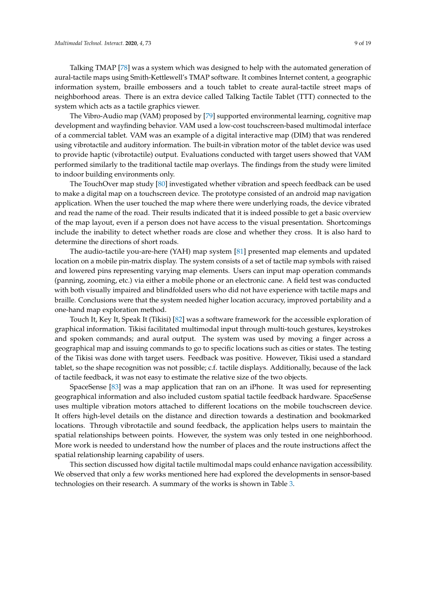Talking TMAP [\[78\]](#page-16-18) was a system which was designed to help with the automated generation of aural-tactile maps using Smith-Kettlewell's TMAP software. It combines Internet content, a geographic information system, braille embossers and a touch tablet to create aural-tactile street maps of neighborhood areas. There is an extra device called Talking Tactile Tablet (TTT) connected to the system which acts as a tactile graphics viewer.

The Vibro-Audio map (VAM) proposed by [\[79\]](#page-17-0) supported environmental learning, cognitive map development and wayfinding behavior. VAM used a low-cost touchscreen-based multimodal interface of a commercial tablet. VAM was an example of a digital interactive map (DIM) that was rendered using vibrotactile and auditory information. The built-in vibration motor of the tablet device was used to provide haptic (vibrotactile) output. Evaluations conducted with target users showed that VAM performed similarly to the traditional tactile map overlays. The findings from the study were limited to indoor building environments only.

The TouchOver map study [\[80\]](#page-17-1) investigated whether vibration and speech feedback can be used to make a digital map on a touchscreen device. The prototype consisted of an android map navigation application. When the user touched the map where there were underlying roads, the device vibrated and read the name of the road. Their results indicated that it is indeed possible to get a basic overview of the map layout, even if a person does not have access to the visual presentation. Shortcomings include the inability to detect whether roads are close and whether they cross. It is also hard to determine the directions of short roads.

The audio-tactile you-are-here (YAH) map system [\[81\]](#page-17-2) presented map elements and updated location on a mobile pin-matrix display. The system consists of a set of tactile map symbols with raised and lowered pins representing varying map elements. Users can input map operation commands (panning, zooming, etc.) via either a mobile phone or an electronic cane. A field test was conducted with both visually impaired and blindfolded users who did not have experience with tactile maps and braille. Conclusions were that the system needed higher location accuracy, improved portability and a one-hand map exploration method.

Touch It, Key It, Speak It (Tikisi) [\[82\]](#page-17-3) was a software framework for the accessible exploration of graphical information. Tikisi facilitated multimodal input through multi-touch gestures, keystrokes and spoken commands; and aural output. The system was used by moving a finger across a geographical map and issuing commands to go to specific locations such as cities or states. The testing of the Tikisi was done with target users. Feedback was positive. However, Tikisi used a standard tablet, so the shape recognition was not possible; c.f. tactile displays. Additionally, because of the lack of tactile feedback, it was not easy to estimate the relative size of the two objects.

SpaceSense [\[83\]](#page-17-4) was a map application that ran on an iPhone. It was used for representing geographical information and also included custom spatial tactile feedback hardware. SpaceSense uses multiple vibration motors attached to different locations on the mobile touchscreen device. It offers high-level details on the distance and direction towards a destination and bookmarked locations. Through vibrotactile and sound feedback, the application helps users to maintain the spatial relationships between points. However, the system was only tested in one neighborhood. More work is needed to understand how the number of places and the route instructions affect the spatial relationship learning capability of users.

This section discussed how digital tactile multimodal maps could enhance navigation accessibility. We observed that only a few works mentioned here had explored the developments in sensor-based technologies on their research. A summary of the works is shown in Table [3.](#page-9-0)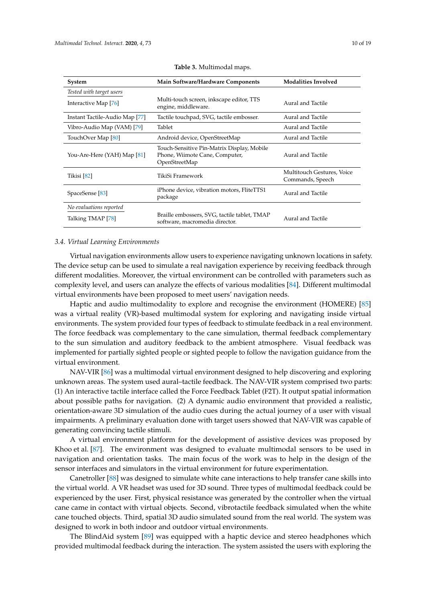<span id="page-9-0"></span>

| System                         | Main Software/Hardware Components                                                             | <b>Modalities Involved</b>                     |
|--------------------------------|-----------------------------------------------------------------------------------------------|------------------------------------------------|
| Tested with target users       |                                                                                               |                                                |
| Interactive Map [76]           | Multi-touch screen, inkscape editor, TTS<br>engine, middleware.                               | Aural and Tactile                              |
| Instant Tactile-Audio Map [77] | Tactile touchpad, SVG, tactile embosser.                                                      | Aural and Tactile                              |
| Vibro-Audio Map (VAM) [79]     | Tablet                                                                                        | Aural and Tactile                              |
| TouchOver Map [80]             | Android device, OpenStreetMap                                                                 | Aural and Tactile                              |
| You-Are-Here (YAH) Map [81]    | Touch-Sensitive Pin-Matrix Display, Mobile<br>Phone, Wiimote Cane, Computer,<br>OpenStreetMap | Aural and Tactile                              |
| Tikisi [82]                    | TikiSi Framework                                                                              | Multitouch Gestures, Voice<br>Commands, Speech |
| SpaceSense [83]                | iPhone device, vibration motors, FliteTTS1<br>package                                         | Aural and Tactile                              |
| No evaluations reported        |                                                                                               |                                                |
| Talking TMAP [78]              | Braille embossers, SVG, tactile tablet, TMAP<br>software, macromedia director.                | Aural and Tactile                              |

**Table 3.** Multimodal maps.

## *3.4. Virtual Learning Environments*

Virtual navigation environments allow users to experience navigating unknown locations in safety. The device setup can be used to simulate a real navigation experience by receiving feedback through different modalities. Moreover, the virtual environment can be controlled with parameters such as complexity level, and users can analyze the effects of various modalities [\[84\]](#page-17-5). Different multimodal virtual environments have been proposed to meet users' navigation needs.

Haptic and audio multimodality to explore and recognise the environment (HOMERE) [\[85\]](#page-17-6) was a virtual reality (VR)-based multimodal system for exploring and navigating inside virtual environments. The system provided four types of feedback to stimulate feedback in a real environment. The force feedback was complementary to the cane simulation, thermal feedback complementary to the sun simulation and auditory feedback to the ambient atmosphere. Visual feedback was implemented for partially sighted people or sighted people to follow the navigation guidance from the virtual environment.

NAV-VIR [\[86\]](#page-17-7) was a multimodal virtual environment designed to help discovering and exploring unknown areas. The system used aural–tactile feedback. The NAV-VIR system comprised two parts: (1) An interactive tactile interface called the Force Feedback Tablet (F2T). It output spatial information about possible paths for navigation. (2) A dynamic audio environment that provided a realistic, orientation-aware 3D simulation of the audio cues during the actual journey of a user with visual impairments. A preliminary evaluation done with target users showed that NAV-VIR was capable of generating convincing tactile stimuli.

A virtual environment platform for the development of assistive devices was proposed by Khoo et al. [\[87\]](#page-17-8). The environment was designed to evaluate multimodal sensors to be used in navigation and orientation tasks. The main focus of the work was to help in the design of the sensor interfaces and simulators in the virtual environment for future experimentation.

Canetroller [\[88\]](#page-17-9) was designed to simulate white cane interactions to help transfer cane skills into the virtual world. A VR headset was used for 3D sound. Three types of multimodal feedback could be experienced by the user. First, physical resistance was generated by the controller when the virtual cane came in contact with virtual objects. Second, vibrotactile feedback simulated when the white cane touched objects. Third, spatial 3D audio simulated sound from the real world. The system was designed to work in both indoor and outdoor virtual environments.

The BlindAid system [\[89\]](#page-17-10) was equipped with a haptic device and stereo headphones which provided multimodal feedback during the interaction. The system assisted the users with exploring the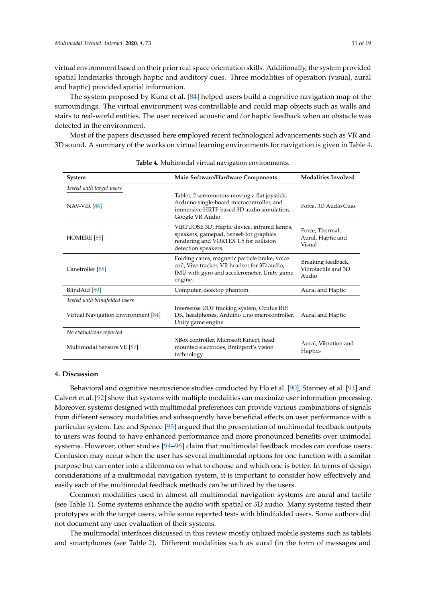virtual environment based on their prior real space orientation skills. Additionally, the system provided spatial landmarks through haptic and auditory cues. Three modalities of operation (visual, aural and haptic) provided spatial information.

The system proposed by Kunz et al. [\[84\]](#page-17-5) helped users build a cognitive navigation map of the surroundings. The virtual environment was controllable and could map objects such as walls and stairs to real-world entities. The user received acoustic and/or haptic feedback when an obstacle was detected in the environment.

Most of the papers discussed here employed recent technological advancements such as VR and 3D sound. A summary of the works on virtual learning environments for navigation is given in Table [4.](#page-10-1)

<span id="page-10-1"></span>

| System                              | Main Software/Hardware Components                                                                                                                           | <b>Modalities Involved</b>                         |
|-------------------------------------|-------------------------------------------------------------------------------------------------------------------------------------------------------------|----------------------------------------------------|
| Tested with target users            |                                                                                                                                                             |                                                    |
| <b>NAV-VIR</b> [86]                 | Tablet, 2 servomotors moving a flat joystick,<br>Arduino single-board microcontroller, and<br>immersive HRTF-based 3D audio simulation,<br>Google VR Audio. | Force, 3D Audio Cues                               |
| HOMERE <sup>[85]</sup>              | VIRTUOSE 3D, Haptic device, infrared lamps,<br>speakers, gamepad, Sense8 for graphics<br>rendering and VORTEX 1.5 for collision<br>detection speakers.      | Force, Thermal,<br>Aural, Haptic and<br>Visual     |
| Canetroller [88]                    | Folding canes, magnetic particle brake, voice<br>coil, Vive tracker, VR headset for 3D audio,<br>IMU with gyro and accelerometer, Unity game<br>engine.     | Breaking feedback,<br>Vibrotactile and 3D<br>Audio |
| BlindAid [89]                       | Computer, desktop phantom.                                                                                                                                  | Aural and Haptic                                   |
| Tested with blindfolded users       |                                                                                                                                                             |                                                    |
| Virtual Navigation Environment [84] | Intersense DOF tracking system, Oculus Rift<br>DK, headphones, Arduino Uno microcontroller,<br>Unity game engine.                                           | Aural and Haptic                                   |
| No evaluations reported             |                                                                                                                                                             |                                                    |
| Multimodal Sensors VE [87]          | XBox controller, Microsoft Kinect, head<br>mounted electrodes, Brainport's vision<br>technology.                                                            | Aural, Vibration and<br>Haptics                    |

**Table 4.** Multimodal virtual navigation environments.

## <span id="page-10-0"></span>**4. Discussion**

Behavioral and cognitive neuroscience studies conducted by Ho et al. [\[90\]](#page-17-11), Stanney et al. [\[91\]](#page-17-12) and Calvert et al. [\[92\]](#page-17-13) show that systems with multiple modalities can maximize user information processing. Moreover, systems designed with multimodal preferences can provide various combinations of signals from different sensory modalities and subsequently have beneficial effects on user performance with a particular system. Lee and Spence [\[93\]](#page-17-14) argued that the presentation of multimodal feedback outputs to users was found to have enhanced performance and more pronounced benefits over unimodal systems. However, other studies [\[94](#page-17-15)[–96\]](#page-17-16) claim that multimodal feedback modes can confuse users. Confusion may occur when the user has several multimodal options for one function with a similar purpose but can enter into a dilemma on what to choose and which one is better. In terms of design considerations of a multimodal navigation system, it is important to consider how effectively and easily each of the multimodal feedback methods can be utilized by the users.

Common modalities used in almost all multimodal navigation systems are aural and tactile (see Table [1\)](#page-6-0). Some systems enhance the audio with spatial or 3D audio. Many systems tested their prototypes with the target users, while some reported tests with blindfolded users. Some authors did not document any user evaluation of their systems.

The multimodal interfaces discussed in this review mostly utilized mobile systems such as tablets and smartphones (see Table [2\)](#page-7-0). Different modalities such as aural (in the form of messages and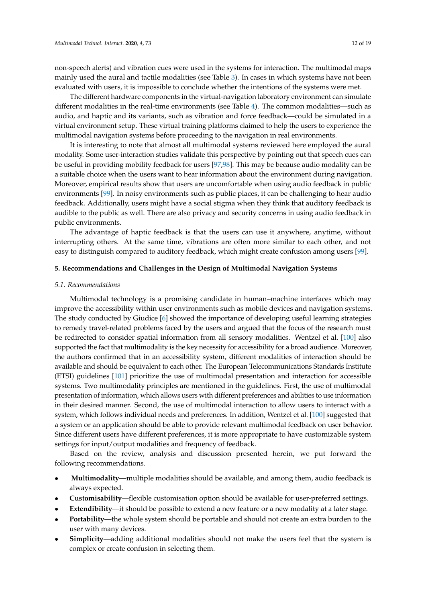non-speech alerts) and vibration cues were used in the systems for interaction. The multimodal maps mainly used the aural and tactile modalities (see Table [3\)](#page-9-0). In cases in which systems have not been evaluated with users, it is impossible to conclude whether the intentions of the systems were met.

The different hardware components in the virtual-navigation laboratory environment can simulate different modalities in the real-time environments (see Table [4\)](#page-10-1). The common modalities—such as audio, and haptic and its variants, such as vibration and force feedback—could be simulated in a virtual environment setup. These virtual training platforms claimed to help the users to experience the multimodal navigation systems before proceeding to the navigation in real environments.

It is interesting to note that almost all multimodal systems reviewed here employed the aural modality. Some user-interaction studies validate this perspective by pointing out that speech cues can be useful in providing mobility feedback for users [\[97](#page-17-17)[,98\]](#page-18-0). This may be because audio modality can be a suitable choice when the users want to hear information about the environment during navigation. Moreover, empirical results show that users are uncomfortable when using audio feedback in public environments [\[99\]](#page-18-1). In noisy environments such as public places, it can be challenging to hear audio feedback. Additionally, users might have a social stigma when they think that auditory feedback is audible to the public as well. There are also privacy and security concerns in using audio feedback in public environments.

The advantage of haptic feedback is that the users can use it anywhere, anytime, without interrupting others. At the same time, vibrations are often more similar to each other, and not easy to distinguish compared to auditory feedback, which might create confusion among users [\[99\]](#page-18-1).

#### <span id="page-11-0"></span>**5. Recommendations and Challenges in the Design of Multimodal Navigation Systems**

#### *5.1. Recommendations*

Multimodal technology is a promising candidate in human–machine interfaces which may improve the accessibility within user environments such as mobile devices and navigation systems. The study conducted by Giudice [\[6\]](#page-13-3) showed the importance of developing useful learning strategies to remedy travel-related problems faced by the users and argued that the focus of the research must be redirected to consider spatial information from all sensory modalities. Wentzel et al. [\[100\]](#page-18-2) also supported the fact that multimodality is the key necessity for accessibility for a broad audience. Moreover, the authors confirmed that in an accessibility system, different modalities of interaction should be available and should be equivalent to each other. The European Telecommunications Standards Institute (ETSI) guidelines [\[101\]](#page-18-3) prioritize the use of multimodal presentation and interaction for accessible systems. Two multimodality principles are mentioned in the guidelines. First, the use of multimodal presentation of information, which allows users with different preferences and abilities to use information in their desired manner. Second, the use of multimodal interaction to allow users to interact with a system, which follows individual needs and preferences. In addition, Wentzel et al. [\[100\]](#page-18-2) suggested that a system or an application should be able to provide relevant multimodal feedback on user behavior. Since different users have different preferences, it is more appropriate to have customizable system settings for input/output modalities and frequency of feedback.

Based on the review, analysis and discussion presented herein, we put forward the following recommendations.

- **Multimodality**—multiple modalities should be available, and among them, audio feedback is always expected.
- **Customisability**—flexible customisation option should be available for user-preferred settings.
- **Extendibility**—it should be possible to extend a new feature or a new modality at a later stage.
- **Portability**—the whole system should be portable and should not create an extra burden to the user with many devices.
- **Simplicity**—adding additional modalities should not make the users feel that the system is complex or create confusion in selecting them.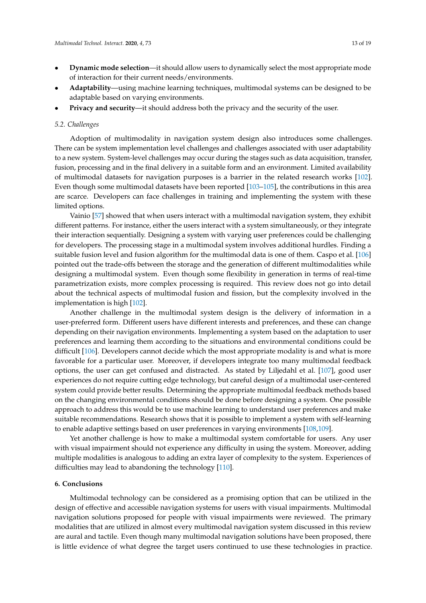- **Dynamic mode selection**—it should allow users to dynamically select the most appropriate mode of interaction for their current needs/environments.
- **Adaptability**—using machine learning techniques, multimodal systems can be designed to be adaptable based on varying environments.
- **Privacy and security**—it should address both the privacy and the security of the user.

#### *5.2. Challenges*

Adoption of multimodality in navigation system design also introduces some challenges. There can be system implementation level challenges and challenges associated with user adaptability to a new system. System-level challenges may occur during the stages such as data acquisition, transfer, fusion, processing and in the final delivery in a suitable form and an environment. Limited availability of multimodal datasets for navigation purposes is a barrier in the related research works [\[102\]](#page-18-4). Even though some multimodal datasets have been reported [\[103–](#page-18-5)[105\]](#page-18-6), the contributions in this area are scarce. Developers can face challenges in training and implementing the system with these limited options.

Vainio [\[57\]](#page-15-20) showed that when users interact with a multimodal navigation system, they exhibit different patterns. For instance, either the users interact with a system simultaneously, or they integrate their interaction sequentially. Designing a system with varying user preferences could be challenging for developers. The processing stage in a multimodal system involves additional hurdles. Finding a suitable fusion level and fusion algorithm for the multimodal data is one of them. Caspo et al. [\[106\]](#page-18-7) pointed out the trade-offs between the storage and the generation of different multimodalities while designing a multimodal system. Even though some flexibility in generation in terms of real-time parametrization exists, more complex processing is required. This review does not go into detail about the technical aspects of multimodal fusion and fission, but the complexity involved in the implementation is high [\[102\]](#page-18-4).

Another challenge in the multimodal system design is the delivery of information in a user-preferred form. Different users have different interests and preferences, and these can change depending on their navigation environments. Implementing a system based on the adaptation to user preferences and learning them according to the situations and environmental conditions could be difficult [\[106\]](#page-18-7). Developers cannot decide which the most appropriate modality is and what is more favorable for a particular user. Moreover, if developers integrate too many multimodal feedback options, the user can get confused and distracted. As stated by Liljedahl et al. [\[107\]](#page-18-8), good user experiences do not require cutting edge technology, but careful design of a multimodal user-centered system could provide better results. Determining the appropriate multimodal feedback methods based on the changing environmental conditions should be done before designing a system. One possible approach to address this would be to use machine learning to understand user preferences and make suitable recommendations. Research shows that it is possible to implement a system with self-learning to enable adaptive settings based on user preferences in varying environments [\[108,](#page-18-9)[109\]](#page-18-10).

Yet another challenge is how to make a multimodal system comfortable for users. Any user with visual impairment should not experience any difficulty in using the system. Moreover, adding multiple modalities is analogous to adding an extra layer of complexity to the system. Experiences of difficulties may lead to abandoning the technology [\[110\]](#page-18-11).

# <span id="page-12-0"></span>**6. Conclusions**

Multimodal technology can be considered as a promising option that can be utilized in the design of effective and accessible navigation systems for users with visual impairments. Multimodal navigation solutions proposed for people with visual impairments were reviewed. The primary modalities that are utilized in almost every multimodal navigation system discussed in this review are aural and tactile. Even though many multimodal navigation solutions have been proposed, there is little evidence of what degree the target users continued to use these technologies in practice.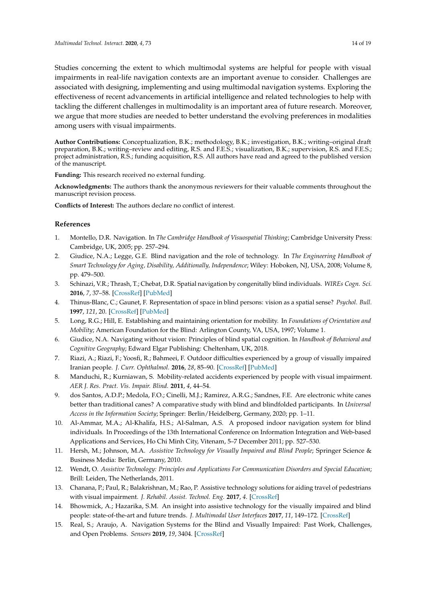Studies concerning the extent to which multimodal systems are helpful for people with visual impairments in real-life navigation contexts are an important avenue to consider. Challenges are associated with designing, implementing and using multimodal navigation systems. Exploring the effectiveness of recent advancements in artificial intelligence and related technologies to help with tackling the different challenges in multimodality is an important area of future research. Moreover, we argue that more studies are needed to better understand the evolving preferences in modalities among users with visual impairments.

**Author Contributions:** Conceptualization, B.K.; methodology, B.K.; investigation, B.K.; writing–original draft preparation, B.K.; writing–review and editing, R.S. and F.E.S.; visualization, B.K.; supervision, R.S. and F.E.S.; project administration, R.S.; funding acquisition, R.S. All authors have read and agreed to the published version of the manuscript.

**Funding:** This research received no external funding.

**Acknowledgments:** The authors thank the anonymous reviewers for their valuable comments throughout the manuscript revision process.

**Conflicts of Interest:** The authors declare no conflict of interest.

# **References**

- <span id="page-13-0"></span>1. Montello, D.R. Navigation. In *The Cambridge Handbook of Visuospatial Thinking*; Cambridge University Press: Cambridge, UK, 2005; pp. 257–294.
- <span id="page-13-1"></span>2. Giudice, N.A.; Legge, G.E. Blind navigation and the role of technology. In *The Engineering Handbook of Smart Technology for Aging, Disability, Additionally, Independence*; Wiley: Hoboken, NJ, USA, 2008; Volume 8, pp. 479–500.
- <span id="page-13-5"></span>3. Schinazi, V.R.; Thrash, T.; Chebat, D.R. Spatial navigation by congenitally blind individuals. *WIREs Cogn. Sci.* **2016**, *7*, 37–58. [\[CrossRef\]](http://dx.doi.org/10.1002/wcs.1375) [\[PubMed\]](http://www.ncbi.nlm.nih.gov/pubmed/26683114)
- 4. Thinus-Blanc, C.; Gaunet, F. Representation of space in blind persons: vision as a spatial sense? *Psychol. Bull.* **1997**, *121*, 20. [\[CrossRef\]](http://dx.doi.org/10.1037/0033-2909.121.1.20) [\[PubMed\]](http://www.ncbi.nlm.nih.gov/pubmed/9064698)
- <span id="page-13-2"></span>5. Long, R.G.; Hill, E. Establishing and maintaining orientation for mobility. In *Foundations of Orientation and Mobility*; American Foundation for the Blind: Arlington County, VA, USA, 1997; Volume 1.
- <span id="page-13-3"></span>6. Giudice, N.A. Navigating without vision: Principles of blind spatial cognition. In *Handbook of Behavioral and Cognitive Geography*; Edward Elgar Publishing: Cheltenham, UK, 2018.
- 7. Riazi, A.; Riazi, F.; Yoosfi, R.; Bahmeei, F. Outdoor difficulties experienced by a group of visually impaired Iranian people. *J. Curr. Ophthalmol.* **2016**, *28*, 85–90. [\[CrossRef\]](http://dx.doi.org/10.1016/j.joco.2016.04.002) [\[PubMed\]](http://www.ncbi.nlm.nih.gov/pubmed/27331153)
- <span id="page-13-4"></span>8. Manduchi, R.; Kurniawan, S. Mobility-related accidents experienced by people with visual impairment. *AER J. Res. Pract. Vis. Impair. Blind.* **2011**, *4*, 44–54.
- <span id="page-13-6"></span>9. dos Santos, A.D.P.; Medola, F.O.; Cinelli, M.J.; Ramirez, A.R.G.; Sandnes, F.E. Are electronic white canes better than traditional canes? A comparative study with blind and blindfolded participants. In *Universal Access in the Information Society*; Springer: Berlin/Heidelberg, Germany, 2020; pp. 1–11.
- <span id="page-13-7"></span>10. Al-Ammar, M.A.; Al-Khalifa, H.S.; Al-Salman, A.S. A proposed indoor navigation system for blind individuals. In Proceedings of the 13th International Conference on Information Integration and Web-based Applications and Services, Ho Chi Minh City, Vitenam, 5–7 December 2011; pp. 527–530.
- <span id="page-13-8"></span>11. Hersh, M.; Johnson, M.A. *Assistive Technology for Visually Impaired and Blind People*; Springer Science & Business Media: Berlin, Germany, 2010.
- <span id="page-13-9"></span>12. Wendt, O. *Assistive Technology: Principles and Applications For Communication Disorders and Special Education*; Brill: Leiden, The Netherlands, 2011.
- <span id="page-13-10"></span>13. Chanana, P.; Paul, R.; Balakrishnan, M.; Rao, P. Assistive technology solutions for aiding travel of pedestrians with visual impairment. *J. Rehabil. Assist. Technol. Eng.* **2017**, *4*. [\[CrossRef\]](http://dx.doi.org/10.1177/2055668317725993)
- <span id="page-13-12"></span>14. Bhowmick, A.; Hazarika, S.M. An insight into assistive technology for the visually impaired and blind people: state-of-the-art and future trends. *J. Multimodal User Interfaces* **2017**, *11*, 149–172. [\[CrossRef\]](http://dx.doi.org/10.1007/s12193-016-0235-6)
- <span id="page-13-11"></span>15. Real, S.; Araujo, A. Navigation Systems for the Blind and Visually Impaired: Past Work, Challenges, and Open Problems. *Sensors* **2019**, *19*, 3404. [\[CrossRef\]](http://dx.doi.org/10.3390/s19153404)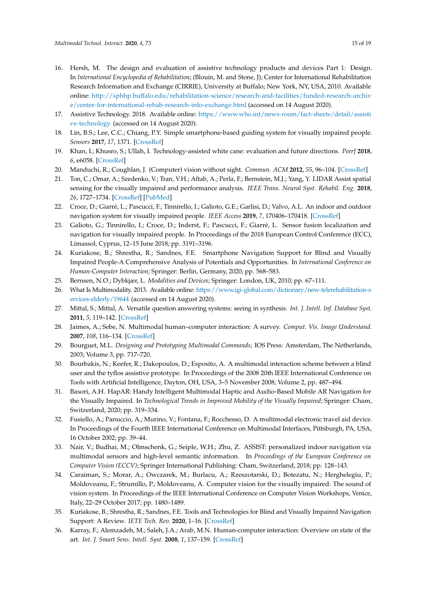- <span id="page-14-0"></span>16. Hersh, M. The design and evaluation of assistive technology products and devices Part 1: Design. In *International Encyclopedia of Rehabilitation*; (Blouin, M. and Stone, J); Center for International Rehabilitation Research Information and Exchange (CIRRIE), University at Buffalo; New York, NY, USA, 2010. Available online: [http://sphhp.buffalo.edu/rehabilitation-science/research-and-facilities/funded-research-archiv](http://sphhp.buffalo.edu/rehabilitation-science/research-and-facilities/funded-research-archive/center-for-international-rehab-research-info-exchange.html) [e/center-for-international-rehab-research-info-exchange.html](http://sphhp.buffalo.edu/rehabilitation-science/research-and-facilities/funded-research-archive/center-for-international-rehab-research-info-exchange.html) (accessed on 14 August 2020).
- <span id="page-14-1"></span>17. Assistive Technology. 2018. Available online: [https://www.who.int/news-room/fact-sheets/detail/assisti](https://www.who.int/news-room/fact-sheets/detail/assistive-technology) [ve-technology](https://www.who.int/news-room/fact-sheets/detail/assistive-technology) (accessed on 14 August 2020).
- <span id="page-14-2"></span>18. Lin, B.S.; Lee, C.C.; Chiang, P.Y. Simple smartphone-based guiding system for visually impaired people. *Sensors* **2017**, *17*, 1371. [\[CrossRef\]](http://dx.doi.org/10.3390/s17061371)
- <span id="page-14-3"></span>19. Khan, I.; Khusro, S.; Ullah, I. Technology-assisted white cane: evaluation and future directions. *PeerJ* **2018**, *6*, e6058. [\[CrossRef\]](http://dx.doi.org/10.7717/peerj.6058)
- <span id="page-14-4"></span>20. Manduchi, R.; Coughlan, J. (Computer) vision without sight. *Commun. ACM* **2012**, *55*, 96–104. [\[CrossRef\]](http://dx.doi.org/10.1145/2063176.2063200)
- <span id="page-14-5"></span>21. Ton, C.; Omar, A.; Szedenko, V.; Tran, V.H.; Aftab, A.; Perla, F.; Bernstein, M.J.; Yang, Y. LIDAR Assist spatial sensing for the visually impaired and performance analysis. *IEEE Trans. Neural Syst. Rehabil. Eng.* **2018**, *26*, 1727–1734. [\[CrossRef\]](http://dx.doi.org/10.1109/TNSRE.2018.2859800) [\[PubMed\]](http://www.ncbi.nlm.nih.gov/pubmed/30047892)
- <span id="page-14-6"></span>22. Croce, D.; Giarré, L.; Pascucci, F.; Tinnirello, I.; Galioto, G.E.; Garlisi, D.; Valvo, A.L. An indoor and outdoor navigation system for visually impaired people. *IEEE Access* **2019**, *7*, 170406–170418. [\[CrossRef\]](http://dx.doi.org/10.1109/ACCESS.2019.2955046)
- 23. Galioto, G.; Tinnirello, I.; Croce, D.; Inderst, F.; Pascucci, F.; Giarré, L. Sensor fusion localization and navigation for visually impaired people. In Proceedings of the 2018 European Control Conference (ECC), Limassol, Cyprus, 12–15 June 2018; pp. 3191–3196.
- <span id="page-14-7"></span>24. Kuriakose, B.; Shrestha, R.; Sandnes, F.E. Smartphone Navigation Support for Blind and Visually Impaired People-A Comprehensive Analysis of Potentials and Opportunities. In *International Conference on Human-Computer Interaction*; Springer: Berlin, Germany, 2020; pp. 568–583.
- <span id="page-14-8"></span>25. Bernsen, N.O.; Dybkjær, L. *Modalities and Devices*; Springer: London, UK, 2010; pp. 67–111.
- <span id="page-14-9"></span>26. What Is Multimodality. 2013. Available online: [https://www.igi-global.com/dictionary/new-telerehabilitation-s](https://www.igi-global.com/dictionary/new-telerehabilitation-services-elderly/19644) [ervices-elderly/19644](https://www.igi-global.com/dictionary/new-telerehabilitation-services-elderly/19644) (accessed on 14 August 2020).
- <span id="page-14-10"></span>27. Mittal, S.; Mittal, A. Versatile question answering systems: seeing in synthesis. *Int. J. Intell. Inf. Database Syst.* **2011**, *5*, 119–142. [\[CrossRef\]](http://dx.doi.org/10.1504/IJIIDS.2011.038968)
- <span id="page-14-11"></span>28. Jaimes, A.; Sebe, N. Multimodal human–computer interaction: A survey. *Comput. Vis. Image Understand.* **2007**, *108*, 116–134. [\[CrossRef\]](http://dx.doi.org/10.1016/j.cviu.2006.10.019)
- <span id="page-14-12"></span>29. Bourguet, M.L. *Designing and Prototyping Multimodal Commands*; IOS Press: Amsterdam, The Netherlands, 2003; Volume 3, pp. 717–720.
- <span id="page-14-13"></span>30. Bourbakis, N.; Keefer, R.; Dakopoulos, D.; Esposito, A. A multimodal interaction scheme between a blind user and the tyflos assistive prototype. In Proceedings of the 2008 20th IEEE International Conference on Tools with Artificial Intelligence, Dayton, OH, USA, 3–5 November 2008; Volume 2, pp. 487–494.
- <span id="page-14-19"></span>31. Basori, A.H. HapAR: Handy Intelligent Multimodal Haptic and Audio-Based Mobile AR Navigation for the Visually Impaired. In *Technological Trends in Improved Mobility of the Visually Impaired*; Springer: Cham, Switzerland, 2020; pp. 319–334.
- <span id="page-14-14"></span>32. Fusiello, A.; Panuccio, A.; Murino, V.; Fontana, F.; Rocchesso, D. A multimodal electronic travel aid device. In Proceedings of the Fourth IEEE International Conference on Multimodal Interfaces, Pittsburgh, PA, USA, 16 October 2002; pp. 39–44.
- <span id="page-14-15"></span>33. Nair, V.; Budhai, M.; Olmschenk, G.; Seiple, W.H.; Zhu, Z. ASSIST: personalized indoor navigation via multimodal sensors and high-level semantic information. In *Proceedings of the European Conference on Computer Vision (ECCV)*; Springer International Publishing: Cham, Switzerland, 2018; pp. 128–143.
- <span id="page-14-16"></span>34. Caraiman, S.; Morar, A.; Owczarek, M.; Burlacu, A.; Rzeszotarski, D.; Botezatu, N.; Herghelegiu, P.; Moldoveanu, F.; Strumillo, P.; Moldoveanu, A. Computer vision for the visually impaired: The sound of vision system. In Proceedings of the IEEE International Conference on Computer Vision Workshops, Venice, Italy, 22–29 October 2017; pp. 1480–1489.
- <span id="page-14-17"></span>35. Kuriakose, B.; Shrestha, R.; Sandnes, F.E. Tools and Technologies for Blind and Visually Impaired Navigation Support: A Review. *IETE Tech. Rev.* **2020**, 1–16. [\[CrossRef\]](http://dx.doi.org/10.1080/02564602.2020.1819893)
- <span id="page-14-18"></span>36. Karray, F.; Alemzadeh, M.; Saleh, J.A.; Arab, M.N. Human-computer interaction: Overview on state of the art. *Int. J. Smart Sens. Intell. Syst.* **2008**, *1*, 137–159. [\[CrossRef\]](http://dx.doi.org/10.21307/ijssis-2017-283)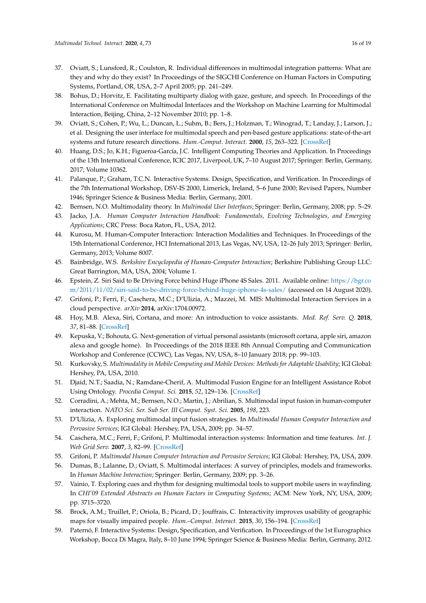- <span id="page-15-0"></span>37. Oviatt, S.; Lunsford, R.; Coulston, R. Individual differences in multimodal integration patterns: What are they and why do they exist? In Proceedings of the SIGCHI Conference on Human Factors in Computing Systems, Portland, OR, USA, 2–7 April 2005; pp. 241–249.
- <span id="page-15-1"></span>38. Bohus, D.; Horvitz, E. Facilitating multiparty dialog with gaze, gesture, and speech. In Proceedings of the International Conference on Multimodal Interfaces and the Workshop on Machine Learning for Multimodal Interaction, Beijing, China, 2–12 November 2010; pp. 1–8.
- <span id="page-15-2"></span>39. Oviatt, S.; Cohen, P.; Wu, L.; Duncan, L.; Suhm, B.; Bers, J.; Holzman, T.; Winograd, T.; Landay, J.; Larson, J.; et al. Designing the user interface for multimodal speech and pen-based gesture applications: state-of-the-art systems and future research directions. *Hum.-Comput. Interact.* **2000**, *15*, 263–322. [\[CrossRef\]](http://dx.doi.org/10.1207/S15327051HCI1504_1)
- <span id="page-15-3"></span>40. Huang, D.S.; Jo, K.H.; Figueroa-García, J.C. Intelligent Computing Theories and Application. In Proceedings of the 13th International Conference, ICIC 2017, Liverpool, UK, 7–10 August 2017; Springer: Berlin, Germany, 2017; Volume 10362.
- <span id="page-15-4"></span>41. Palanque, P.; Graham, T.C.N. Interactive Systems. Design, Specification, and Verification. In Proceedings of the 7th International Workshop, DSV-IS 2000, Limerick, Ireland, 5–6 June 2000; Revised Papers, Number 1946; Springer Science & Business Media: Berlin, Germany, 2001.
- <span id="page-15-5"></span>42. Bernsen, N.O. Multimodality theory. In *Multimodal User Interfaces*; Springer: Berlin, Germany, 2008; pp. 5–29.
- <span id="page-15-6"></span>43. Jacko, J.A. *Human Computer Interaction Handbook: Fundamentals, Evolving Technologies, and Emerging Applications*; CRC Press: Boca Raton, FL, USA, 2012.
- <span id="page-15-7"></span>44. Kurosu, M. Human-Computer Interaction: Interaction Modalities and Techniques. In Proceedings of the 15th International Conference, HCI International 2013, Las Vegas, NV, USA, 12–26 July 2013; Springer: Berlin, Germany, 2013; Volume 8007.
- <span id="page-15-8"></span>45. Bainbridge, W.S. *Berkshire Encyclopedia of Human-Computer Interaction*; Berkshire Publishing Group LLC: Great Barrington, MA, USA, 2004; Volume 1.
- <span id="page-15-9"></span>46. Epstein, Z. Siri Said to Be Driving Force behind Huge iPhone 4S Sales. 2011. Available online: [https://bgr.co](https://bgr.com/2011/11/02/siri-said-to-be-driving-force-behind-huge-iphone-4s-sales/) [m/2011/11/02/siri-said-to-be-driving-force-behind-huge-iphone-4s-sales/](https://bgr.com/2011/11/02/siri-said-to-be-driving-force-behind-huge-iphone-4s-sales/) (accessed on 14 August 2020).
- <span id="page-15-10"></span>47. Grifoni, P.; Ferri, F.; Caschera, M.C.; D'Ulizia, A.; Mazzei, M. MIS: Multimodal Interaction Services in a cloud perspective. *arXiv* **2014**, arXiv:1704.00972.
- <span id="page-15-11"></span>48. Hoy, M.B. Alexa, Siri, Cortana, and more: An introduction to voice assistants. *Med. Ref. Serv. Q.* **2018**, *37*, 81–88. [\[CrossRef\]](http://dx.doi.org/10.1080/02763869.2018.1404391)
- <span id="page-15-12"></span>49. Kepuska, V.; Bohouta, G. Next-generation of virtual personal assistants (microsoft cortana, apple siri, amazon alexa and google home). In Proceedings of the 2018 IEEE 8th Annual Computing and Communication Workshop and Conference (CCWC), Las Vegas, NV, USA, 8–10 January 2018; pp. 99–103.
- <span id="page-15-13"></span>50. Kurkovsky, S. *Multimodality in Mobile Computing and Mobile Devices: Methods for Adaptable Usability*; IGI Global: Hershey, PA, USA, 2010.
- <span id="page-15-14"></span>51. Djaid, N.T.; Saadia, N.; Ramdane-Cherif, A. Multimodal Fusion Engine for an Intelligent Assistance Robot Using Ontology. *Procedia Comput. Sci.* **2015**, *52*, 129–136. [\[CrossRef\]](http://dx.doi.org/10.1016/j.procs.2015.05.041)
- <span id="page-15-15"></span>52. Corradini, A.; Mehta, M.; Bernsen, N.O.; Martin, J.; Abrilian, S. Multimodal input fusion in human-computer interaction. *NATO Sci. Ser. Sub Ser. III Comput. Syst. Sci.* **2005**, *198*, 223.
- <span id="page-15-16"></span>53. D'Ulizia, A. Exploring multimodal input fusion strategies. In *Multimodal Human Computer Interaction and Pervasive Services*; IGI Global: Hershey, PA, USA, 2009; pp. 34–57.
- <span id="page-15-17"></span>54. Caschera, M.C.; Ferri, F.; Grifoni, P. Multimodal interaction systems: Information and time features. *Int. J. Web Grid Serv.* **2007**, *3*, 82–99. [\[CrossRef\]](http://dx.doi.org/10.1504/IJWGS.2007.012638)
- <span id="page-15-18"></span>55. Grifoni, P. *Multimodal Human Computer Interaction and Pervasive Services*; IGI Global: Hershey, PA, USA, 2009.
- <span id="page-15-19"></span>56. Dumas, B.; Lalanne, D.; Oviatt, S. Multimodal interfaces: A survey of principles, models and frameworks. In *Human Machine Interaction*; Springer: Berlin, Germany, 2009; pp. 3–26.
- <span id="page-15-20"></span>57. Vainio, T. Exploring cues and rhythm for designing multimodal tools to support mobile users in wayfinding. In *CHI'09 Extended Abstracts on Human Factors in Computing Systems*; ACM: New York, NY, USA, 2009; pp. 3715–3720.
- <span id="page-15-21"></span>58. Brock, A.M.; Truillet, P.; Oriola, B.; Picard, D.; Jouffrais, C. Interactivity improves usability of geographic maps for visually impaired people. *Hum.–Comput. Interact.* **2015**, *30*, 156–194. [\[CrossRef\]](http://dx.doi.org/10.1080/07370024.2014.924412)
- <span id="page-15-22"></span>59. Paternó, F. Interactive Systems: Design, Specification, and Verification. In Proceedings of the 1st Eurographics Workshop, Bocca Di Magra, Italy, 8–10 June 1994; Springer Science & Business Media: Berlin, Germany, 2012.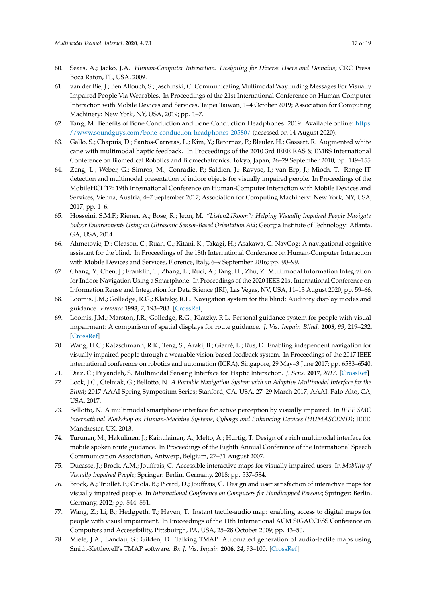- <span id="page-16-0"></span>60. Sears, A.; Jacko, J.A. *Human-Computer Interaction: Designing for Diverse Users and Domains*; CRC Press: Boca Raton, FL, USA, 2009.
- <span id="page-16-1"></span>61. van der Bie, J.; Ben Allouch, S.; Jaschinski, C. Communicating Multimodal Wayfinding Messages For Visually Impaired People Via Wearables. In Proceedings of the 21st International Conference on Human-Computer Interaction with Mobile Devices and Services, Taipei Taiwan, 1–4 October 2019; Association for Computing Machinery: New York, NY, USA, 2019; pp. 1–7.
- <span id="page-16-2"></span>62. Tang, M. Benefits of Bone Conduction and Bone Conduction Headphones. 2019. Available online: [https:](https://www.soundguys.com/bone-conduction-headphones-20580/) [//www.soundguys.com/bone-conduction-headphones-20580/](https://www.soundguys.com/bone-conduction-headphones-20580/) (accessed on 14 August 2020).
- <span id="page-16-3"></span>63. Gallo, S.; Chapuis, D.; Santos-Carreras, L.; Kim, Y.; Retornaz, P.; Bleuler, H.; Gassert, R. Augmented white cane with multimodal haptic feedback. In Proceedings of the 2010 3rd IEEE RAS & EMBS International Conference on Biomedical Robotics and Biomechatronics, Tokyo, Japan, 26–29 September 2010; pp. 149–155.
- <span id="page-16-4"></span>64. Zeng, L.; Weber, G.; Simros, M.; Conradie, P.; Saldien, J.; Ravyse, I.; van Erp, J.; Mioch, T. Range-IT: detection and multimodal presentation of indoor objects for visually impaired people. In Proceedings of the MobileHCI '17: 19th International Conference on Human-Computer Interaction with Mobile Devices and Services, Vienna, Austria, 4–7 September 2017; Association for Computing Machinery: New York, NY, USA, 2017; pp. 1–6.
- <span id="page-16-5"></span>65. Hosseini, S.M.F.; Riener, A.; Bose, R.; Jeon, M. *"Listen2dRoom": Helping Visually Impaired People Navigate Indoor Environments Using an Ultrasonic Sensor-Based Orientation Aid*; Georgia Institute of Technology: Atlanta, GA, USA, 2014.
- <span id="page-16-6"></span>66. Ahmetovic, D.; Gleason, C.; Ruan, C.; Kitani, K.; Takagi, H.; Asakawa, C. NavCog: A navigational cognitive assistant for the blind. In Proceedings of the 18th International Conference on Human-Computer Interaction with Mobile Devices and Services, Florence, Italy, 6–9 September 2016; pp. 90–99.
- <span id="page-16-7"></span>67. Chang, Y.; Chen, J.; Franklin, T.; Zhang, L.; Ruci, A.; Tang, H.; Zhu, Z. Multimodal Information Integration for Indoor Navigation Using a Smartphone. In Proceedings of the 2020 IEEE 21st International Conference on Information Reuse and Integration for Data Science (IRI), Las Vegas, NV, USA, 11–13 August 2020; pp. 59–66.
- <span id="page-16-8"></span>68. Loomis, J.M.; Golledge, R.G.; Klatzky, R.L. Navigation system for the blind: Auditory display modes and guidance. *Presence* **1998**, *7*, 193–203. [\[CrossRef\]](http://dx.doi.org/10.1162/105474698565677)
- <span id="page-16-9"></span>69. Loomis, J.M.; Marston, J.R.; Golledge, R.G.; Klatzky, R.L. Personal guidance system for people with visual impairment: A comparison of spatial displays for route guidance. *J. Vis. Impair. Blind.* **2005**, *99*, 219–232. [\[CrossRef\]](http://dx.doi.org/10.1177/0145482X0509900404)
- <span id="page-16-10"></span>70. Wang, H.C.; Katzschmann, R.K.; Teng, S.; Araki, B.; Giarré, L.; Rus, D. Enabling independent navigation for visually impaired people through a wearable vision-based feedback system. In Proceedings of the 2017 IEEE international conference on robotics and automation (ICRA), Singapore, 29 May–3 June 2017; pp. 6533–6540.
- <span id="page-16-11"></span>71. Diaz, C.; Payandeh, S. Multimodal Sensing Interface for Haptic Interaction. *J. Sens.* **2017**, *2017*. [\[CrossRef\]](http://dx.doi.org/10.1155/2017/2072951)
- <span id="page-16-12"></span>72. Lock, J.C.; Cielniak, G.; Bellotto, N. *A Portable Navigation System with an Adaptive Multimodal Interface for the Blind*; 2017 AAAI Spring Symposium Series; Stanford, CA, USA, 27–29 March 2017; AAAI: Palo Alto, CA, USA, 2017.
- <span id="page-16-13"></span>73. Bellotto, N. A multimodal smartphone interface for active perception by visually impaired. In *IEEE SMC International Workshop on Human-Machine Systems, Cyborgs and Enhancing Devices (HUMASCEND)*; IEEE: Manchester, UK, 2013.
- <span id="page-16-14"></span>74. Turunen, M.; Hakulinen, J.; Kainulainen, A.; Melto, A.; Hurtig, T. Design of a rich multimodal interface for mobile spoken route guidance. In Proceedings of the Eighth Annual Conference of the International Speech Communication Association, Antwerp, Belgium, 27–31 August 2007.
- <span id="page-16-15"></span>75. Ducasse, J.; Brock, A.M.; Jouffrais, C. Accessible interactive maps for visually impaired users. In *Mobility of Visually Impaired People*; Springer: Berlin, Germany, 2018; pp. 537–584.
- <span id="page-16-16"></span>76. Brock, A.; Truillet, P.; Oriola, B.; Picard, D.; Jouffrais, C. Design and user satisfaction of interactive maps for visually impaired people. In *International Conference on Computers for Handicapped Persons*; Springer: Berlin, Germany, 2012; pp. 544–551.
- <span id="page-16-17"></span>77. Wang, Z.; Li, B.; Hedgpeth, T.; Haven, T. Instant tactile-audio map: enabling access to digital maps for people with visual impairment. In Proceedings of the 11th International ACM SIGACCESS Conference on Computers and Accessibility, Pittsbuirgh, PA, USA, 25–28 October 2009; pp. 43–50.
- <span id="page-16-18"></span>78. Miele, J.A.; Landau, S.; Gilden, D. Talking TMAP: Automated generation of audio-tactile maps using Smith-Kettlewell's TMAP software. *Br. J. Vis. Impair.* **2006**, *24*, 93–100. [\[CrossRef\]](http://dx.doi.org/10.1177/0264619606064436)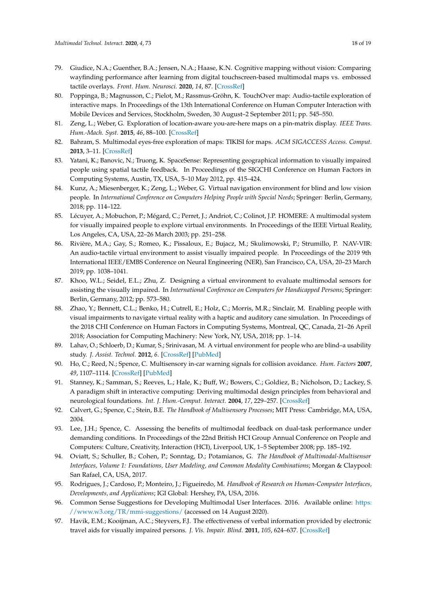- <span id="page-17-0"></span>79. Giudice, N.A.; Guenther, B.A.; Jensen, N.A.; Haase, K.N. Cognitive mapping without vision: Comparing wayfinding performance after learning from digital touchscreen-based multimodal maps vs. embossed tactile overlays. *Front. Hum. Neurosci.* **2020**, *14*, 87. [\[CrossRef\]](http://dx.doi.org/10.3389/fnhum.2020.00087)
- <span id="page-17-1"></span>80. Poppinga, B.; Magnusson, C.; Pielot, M.; Rassmus-Gröhn, K. TouchOver map: Audio-tactile exploration of interactive maps. In Proceedings of the 13th International Conference on Human Computer Interaction with Mobile Devices and Services, Stockholm, Sweden, 30 August–2 September 2011; pp. 545–550.
- <span id="page-17-2"></span>81. Zeng, L.; Weber, G. Exploration of location-aware you-are-here maps on a pin-matrix display. *IEEE Trans. Hum.-Mach. Syst.* **2015**, *46*, 88–100. [\[CrossRef\]](http://dx.doi.org/10.1109/THMS.2015.2477999)
- <span id="page-17-3"></span>82. Bahram, S. Multimodal eyes-free exploration of maps: TIKISI for maps. *ACM SIGACCESS Access. Comput.* **2013**, 3–11. [\[CrossRef\]](http://dx.doi.org/10.1145/2505401.2505402)
- <span id="page-17-4"></span>83. Yatani, K.; Banovic, N.; Truong, K. SpaceSense: Representing geographical information to visually impaired people using spatial tactile feedback. In Proceedings of the SIGCHI Conference on Human Factors in Computing Systems, Austin, TX, USA, 5–10 May 2012, pp. 415–424.
- <span id="page-17-5"></span>84. Kunz, A.; Miesenberger, K.; Zeng, L.; Weber, G. Virtual navigation environment for blind and low vision people. In *International Conference on Computers Helping People with Special Needs*; Springer: Berlin, Germany, 2018; pp. 114–122.
- <span id="page-17-6"></span>85. Lécuyer, A.; Mobuchon, P.; Mégard, C.; Perret, J.; Andriot, C.; Colinot, J.P. HOMERE: A multimodal system for visually impaired people to explore virtual environments. In Proceedings of the IEEE Virtual Reality, Los Angeles, CA, USA, 22–26 March 2003; pp. 251–258.
- <span id="page-17-7"></span>86. Rivière, M.A.; Gay, S.; Romeo, K.; Pissaloux, E.; Bujacz, M.; Skulimowski, P.; Strumillo, P. NAV-VIR: An audio-tactile virtual environment to assist visually impaired people. In Proceedings of the 2019 9th International IEEE/EMBS Conference on Neural Engineering (NER), San Francisco, CA, USA, 20–23 March 2019; pp. 1038–1041.
- <span id="page-17-8"></span>87. Khoo, W.L.; Seidel, E.L.; Zhu, Z. Designing a virtual environment to evaluate multimodal sensors for assisting the visually impaired. In *International Conference on Computers for Handicapped Persons*; Springer: Berlin, Germany, 2012; pp. 573–580.
- <span id="page-17-9"></span>88. Zhao, Y.; Bennett, C.L.; Benko, H.; Cutrell, E.; Holz, C.; Morris, M.R.; Sinclair, M. Enabling people with visual impairments to navigate virtual reality with a haptic and auditory cane simulation. In Proceedings of the 2018 CHI Conference on Human Factors in Computing Systems, Montreal, QC, Canada, 21–26 April 2018; Association for Computing Machinery: New York, NY, USA, 2018; pp. 1–14.
- <span id="page-17-10"></span>89. Lahav, O.; Schloerb, D.; Kumar, S.; Srinivasan, M. A virtual environment for people who are blind–a usability study. *J. Assist. Technol.* **2012**, *6*. [\[CrossRef\]](http://dx.doi.org/10.1108/17549451211214346) [\[PubMed\]](http://www.ncbi.nlm.nih.gov/pubmed/24353744)
- <span id="page-17-11"></span>90. Ho, C.; Reed, N.; Spence, C. Multisensory in-car warning signals for collision avoidance. *Hum. Factors* **2007**, *49*, 1107–1114. [\[CrossRef\]](http://dx.doi.org/10.1518/001872007X249965) [\[PubMed\]](http://www.ncbi.nlm.nih.gov/pubmed/18074709)
- <span id="page-17-12"></span>91. Stanney, K.; Samman, S.; Reeves, L.; Hale, K.; Buff, W.; Bowers, C.; Goldiez, B.; Nicholson, D.; Lackey, S. A paradigm shift in interactive computing: Deriving multimodal design principles from behavioral and neurological foundations. *Int. J. Hum.-Comput. Interact.* **2004**, *17*, 229–257. [\[CrossRef\]](http://dx.doi.org/10.1207/s15327590ijhc1702_7)
- <span id="page-17-13"></span>92. Calvert, G.; Spence, C.; Stein, B.E. *The Handbook of Multisensory Processes*; MIT Press: Cambridge, MA, USA, 2004.
- <span id="page-17-14"></span>93. Lee, J.H.; Spence, C. Assessing the benefits of multimodal feedback on dual-task performance under demanding conditions. In Proceedings of the 22nd British HCI Group Annual Conference on People and Computers: Culture, Creativity, Interaction (HCI), Liverpool, UK, 1–5 September 2008; pp. 185–192.
- <span id="page-17-15"></span>94. Oviatt, S.; Schuller, B.; Cohen, P.; Sonntag, D.; Potamianos, G. *The Handbook of Multimodal-Multisensor Interfaces, Volume 1: Foundations, User Modeling, and Common Modality Combinations*; Morgan & Claypool: San Rafael, CA, USA, 2017.
- 95. Rodrigues, J.; Cardoso, P.; Monteiro, J.; Figueiredo, M. *Handbook of Research on Human-Computer Interfaces, Developments, and Applications*; IGI Global: Hershey, PA, USA, 2016.
- <span id="page-17-16"></span>96. Common Sense Suggestions for Developing Multimodal User Interfaces. 2016. Available online: [https:](https://www.w3.org/TR/mmi-suggestions/) [//www.w3.org/TR/mmi-suggestions/](https://www.w3.org/TR/mmi-suggestions/) (accessed on 14 August 2020).
- <span id="page-17-17"></span>97. Havik, E.M.; Kooijman, A.C.; Steyvers, F.J. The effectiveness of verbal information provided by electronic travel aids for visually impaired persons. *J. Vis. Impair. Blind.* **2011**, *105*, 624–637. [\[CrossRef\]](http://dx.doi.org/10.1177/0145482X1110501009)